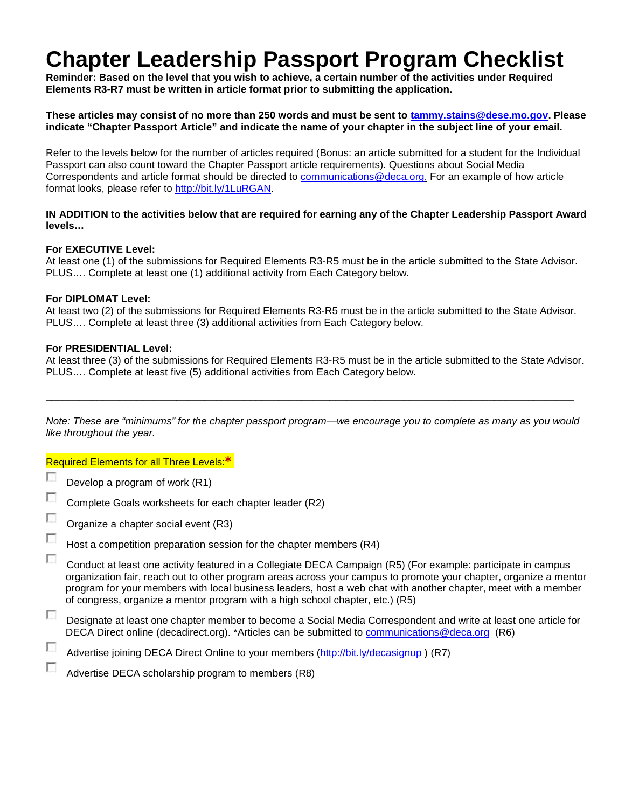## **Chapter Leadership Passport Program Checklist**

**Reminder: Based on the level that you wish to achieve, a certain number of the activities under Required Elements R3-R7 must be written in article format prior to submitting the application.**

**These articles may consist of no more than 250 words and must be sent to [tammy.stains@dese.mo.gov.](mailto:tammy.stains@dese.mo.gov) Please indicate "Chapter Passport Article" and indicate the name of your chapter in the subject line of your email.**

Refer to the levels below for the number of articles required (Bonus: an article submitted for a student for the Individual Passport can also count toward the Chapter Passport article requirements). Questions about Social Media Correspondents and article format should be directed to [communications@deca.org.](mailto:communications@deca.org) For an example of how article format looks, please refer to [http://bit.ly/1LuRGAN.](http://bit.ly/1LuRGAN)

#### **IN ADDITION to the activities below that are required for earning any of the Chapter Leadership Passport Award levels…**

#### **For EXECUTIVE Level:**

At least one (1) of the submissions for Required Elements R3-R5 must be in the article submitted to the State Advisor. PLUS…. Complete at least one (1) additional activity from Each Category below.

#### **For DIPLOMAT Level:**

At least two (2) of the submissions for Required Elements R3-R5 must be in the article submitted to the State Advisor. PLUS…. Complete at least three (3) additional activities from Each Category below.

#### **For PRESIDENTIAL Level:**

At least three (3) of the submissions for Required Elements R3-R5 must be in the article submitted to the State Advisor. PLUS…. Complete at least five (5) additional activities from Each Category below.

*Note: These are "minimums" for the chapter passport program—we encourage you to complete as many as you would like throughout the year.*

\_\_\_\_\_\_\_\_\_\_\_\_\_\_\_\_\_\_\_\_\_\_\_\_\_\_\_\_\_\_\_\_\_\_\_\_\_\_\_\_\_\_\_\_\_\_\_\_\_\_\_\_\_\_\_\_\_\_\_\_\_\_\_\_\_\_\_\_\_\_\_\_\_\_\_\_\_\_\_\_\_\_\_\_\_\_\_\_\_\_\_\_\_

Required Elements for all Three Levels:**\***

- Г Develop a program of work (R1)
- Г Complete Goals worksheets for each chapter leader (R2)
- Organize a chapter social event (R3)
- Г Host a competition preparation session for the chapter members (R4)

T Conduct at least one activity featured in a Collegiate DECA Campaign (R5) (For example: participate in campus organization fair, reach out to other program areas across your campus to promote your chapter, organize a mentor program for your members with local business leaders, host a web chat with another chapter, meet with a member of congress, organize a mentor program with a high school chapter, etc.) (R5)

П Designate at least one chapter member to become a Social Media Correspondent and write at least one article for DECA Direct online (decadirect.org). \*Articles can be submitted to [communications@deca.org](mailto:communications@deca.org) (R6)

г Advertise joining DECA Direct Online to your members [\(http://bit.ly/decasignup](http://bit.ly/decasignup) ) (R7)

г Advertise DECA scholarship program to members (R8)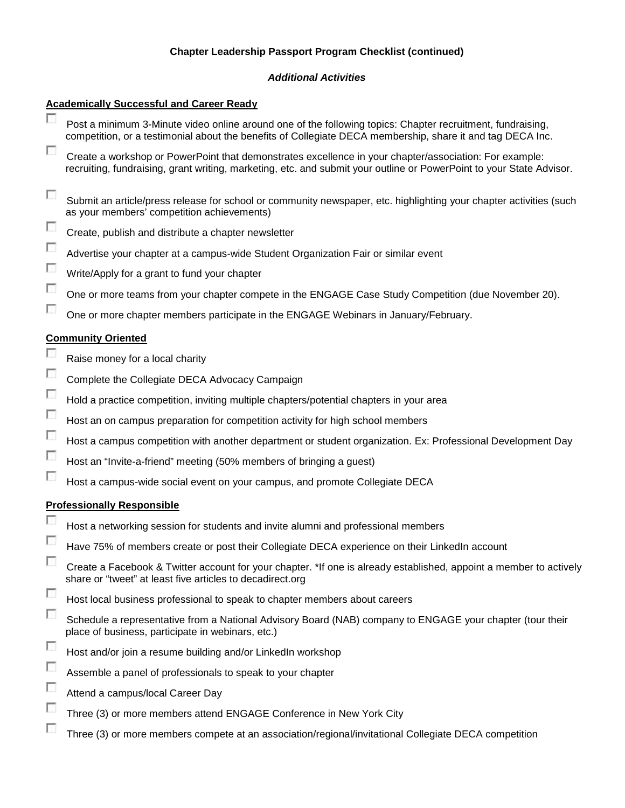### **Chapter Leadership Passport Program Checklist (continued)**

#### *Additional Activities*

#### **Academically Successful and Career Ready** г Post a minimum 3-Minute video online around one of the following topics: Chapter recruitment, fundraising, competition, or a testimonial about the benefits of Collegiate DECA membership, share it and tag DECA Inc. П Create a workshop or PowerPoint that demonstrates excellence in your chapter/association: For example: recruiting, fundraising, grant writing, marketing, etc. and submit your outline or PowerPoint to your State Advisor. T Submit an article/press release for school or community newspaper, etc. highlighting your chapter activities (such as your members' competition achievements) г Create, publish and distribute a chapter newsletter Г Advertise your chapter at a campus-wide Student Organization Fair or similar event Г Write/Apply for a grant to fund your chapter  $\overline{\phantom{a}}$ One or more teams from your chapter compete in the ENGAGE Case Study Competition (due November 20). П One or more chapter members participate in the ENGAGE Webinars in January/February. **Community Oriented** г Raise money for a local charity Г Complete the Collegiate DECA Advocacy Campaign  $\sim$ Hold a practice competition, inviting multiple chapters/potential chapters in your area  $\overline{\phantom{a}}$ Host an on campus preparation for competition activity for high school members  $\overline{\phantom{a}}$ Host a campus competition with another department or student organization. Ex: Professional Development Day П Host an "Invite-a-friend" meeting (50% members of bringing a guest)  $\overline{\phantom{a}}$ Host a campus-wide social event on your campus, and promote Collegiate DECA **Professionally Responsible** г Host a networking session for students and invite alumni and professional members Г Have 75% of members create or post their Collegiate DECA experience on their LinkedIn account П Create a Facebook & Twitter account for your chapter. \*If one is already established, appoint a member to actively share or "tweet" at least five articles to decadirect.org П Host local business professional to speak to chapter members about careers  $\overline{\phantom{a}}$ Schedule a representative from a National Advisory Board (NAB) company to ENGAGE your chapter (tour their place of business, participate in webinars, etc.) г Host and/or join a resume building and/or LinkedIn workshop  $\overline{\phantom{a}}$ Assemble a panel of professionals to speak to your chapter  $\overline{\phantom{a}}$ Attend a campus/local Career Day Г Three (3) or more members attend ENGAGE Conference in New York City г Three (3) or more members compete at an association/regional/invitational Collegiate DECA competition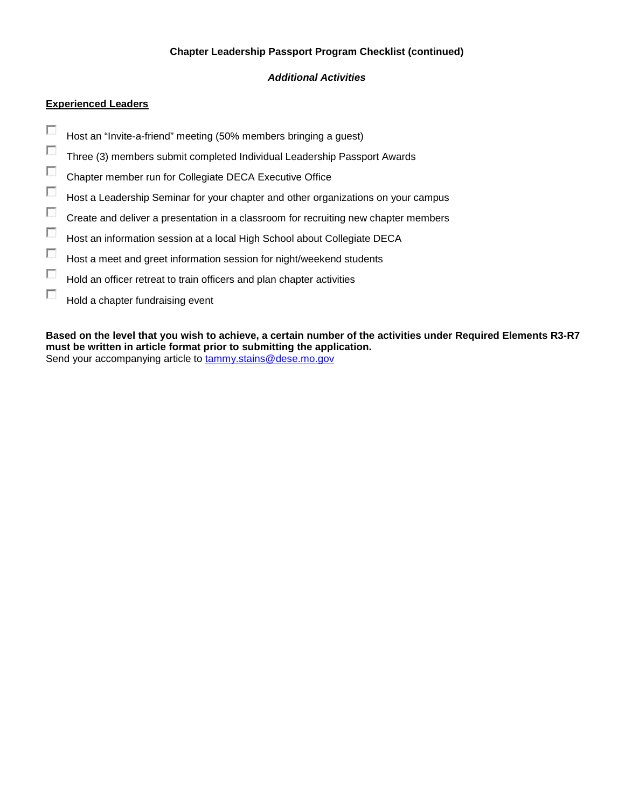#### **Chapter Leadership Passport Program Checklist (continued)**

#### *Additional Activities*

### **Experienced Leaders**

- $\overline{\phantom{a}}$ Host an "Invite-a-friend" meeting (50% members bringing a guest)
- $\overline{\phantom{a}}$ Three (3) members submit completed Individual Leadership Passport Awards
- $\overline{\phantom{a}}$ Chapter member run for Collegiate DECA Executive Office
- $\sim$ Host a Leadership Seminar for your chapter and other organizations on your campus
- $\overline{\mathcal{L}}$ Create and deliver a presentation in a classroom for recruiting new chapter members
- $\overline{\mathcal{L}}$ Host an information session at a local High School about Collegiate DECA
- $\overline{\phantom{a}}$ Host a meet and greet information session for night/weekend students
- $\mathcal{L}_{\mathcal{L}}$ Hold an officer retreat to train officers and plan chapter activities
- $\mathcal{L}_{\mathcal{L}}$ Hold a chapter fundraising event

**Based on the level that you wish to achieve, a certain number of the activities under Required Elements R3-R7 must be written in article format prior to submitting the application.** Send your accompanying article to **tammy.stains@dese.mo.gov**